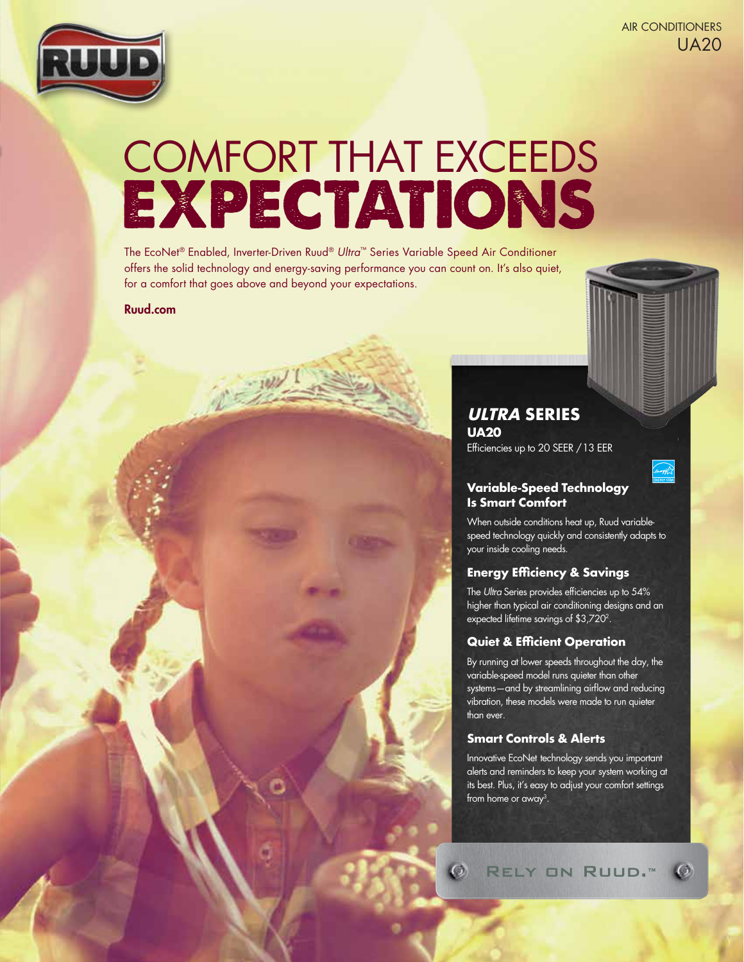



# EXPECTATIONS COMFORT THAT EXCEEDS

The EcoNet® Enabled, Inverter-Driven Ruud® *Ultra*™ Series Variable Speed Air Conditioner offers the solid technology and energy-saving performance you can count on. It's also quiet, for a comfort that goes above and beyond your expectations.

## Ruud.com

# **ULTRA SERIES UA20**

Efficiencies up to 20 SEER / 13 EER

# **Variable-Speed Technology Is Smart Comfort**

When outside conditions heat up, Ruud variablespeed technology quickly and consistently adapts to your inside cooling needs.

# **Energy Efficiency & Savings**

The *Ultra* Series provides efficiencies up to 54% higher than typical air conditioning designs and an expected lifetime savings of \$3,7202.

#### **Quiet & Efficient Operation**

By running at lower speeds throughout the day, the variable-speed model runs quieter than other systems—and by streamlining airflow and reducing vibration, these models were made to run quieter than ever.

# **Smart Controls & Alerts**

 $\mathcal{O}$ 

Innovative EcoNet technology sends you important alerts and reminders to keep your system working at its best. Plus, it's easy to adjust your comfort settings from home or away3.

RELY ON RUUD.™ Ø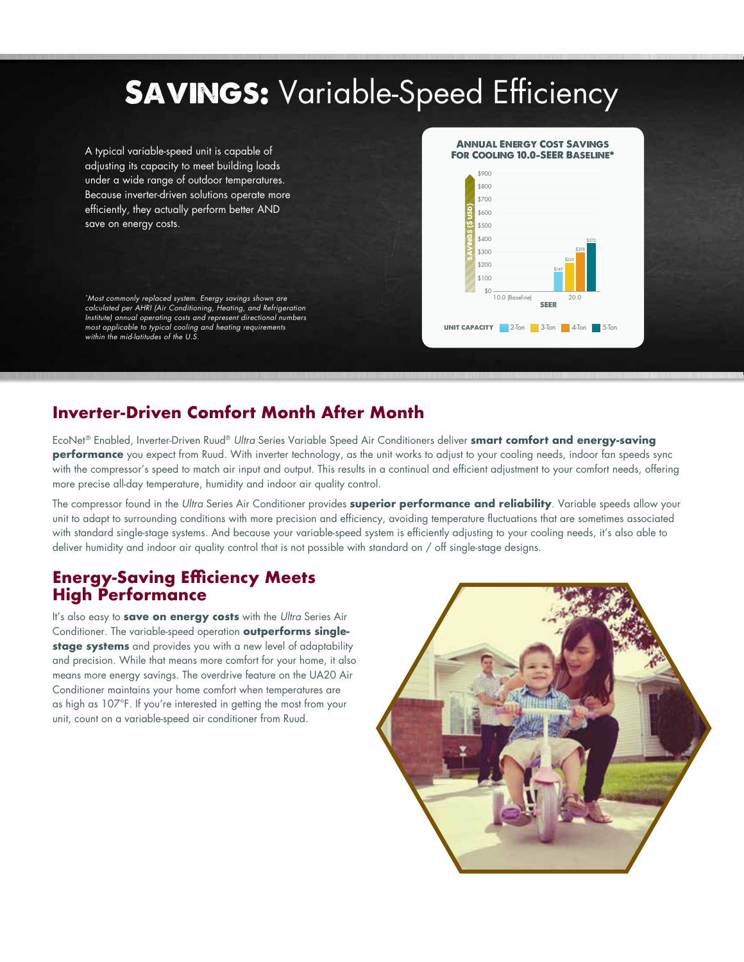#### **SAVINGS:** Variable-Speed Efficiency A typical variable-speed unit is capable of adjusting its capacity to meet building loads under a wide range of outdoor temperatures. Because inverter-driven solutions operate more efficiently, they actually perform better AND save on energy costs. *\*Most commonly replaced system. Energy savings shown are calculated per AHRI (Air Conditioning, Heating, and Refrigeration Institute) annual operating costs and represent directional numbers most applicable to typical cooling and heating requirements within the mid-latitudes of the U.S.* UNIT CAPACITY 2-Ton 3-Ton 4-Ton 5-Ton 6.8 (Baseline)  $10.0$  (Ba \$200 \$0 \$400 \$600  $*800$  $$100$ \$300  $$500$ \$700 savings (\$ usd)  $*$ 900 20.0 SEER \$149 \$223 \$298 \$372 Annual Energy Cost Savings FOR COOLING 10.0-SEER BASELINE<sup>\*</sup>

# **Inverter-Driven Comfort Month After Month**

EcoNet® Enabled, Inverter-Driven Ruud® *Ultra* Series Variable Speed Air Conditioners deliver **smart comfort and energy-saving performance** you expect from Ruud. With inverter technology, as the unit works to adjust to your cooling needs, indoor fan speeds sync with the compressor's speed to match air input and output. This results in a continual and efficient adjustment to your comfort needs, offering more precise all-day temperature, humidity and indoor air quality control.

The compressor found in the *Ultra* Series Air Conditioner provides **superior performance and reliability**. Variable speeds allow your unit to adapt to surrounding conditions with more precision and efficiency, avoiding temperature fluctuations that are sometimes associated with standard single-stage systems. And because your variable-speed system is efficiently adjusting to your cooling needs, it's also able to deliver humidity and indoor air quality control that is not possible with standard on / off single-stage designs.

# **Energy-Saving Efficiency Meets High Performance**

It's also easy to **save on energy costs** with the *Ultra* Series Air Conditioner. The variable-speed operation **outperforms singlestage systems** and provides you with a new level of adaptability and precision. While that means more comfort for your home, it also means more energy savings. The overdrive feature on the UA20 Air Conditioner maintains your home comfort when temperatures are as high as 107°F. If you're interested in getting the most from your unit, count on a variable-speed air conditioner from Ruud.

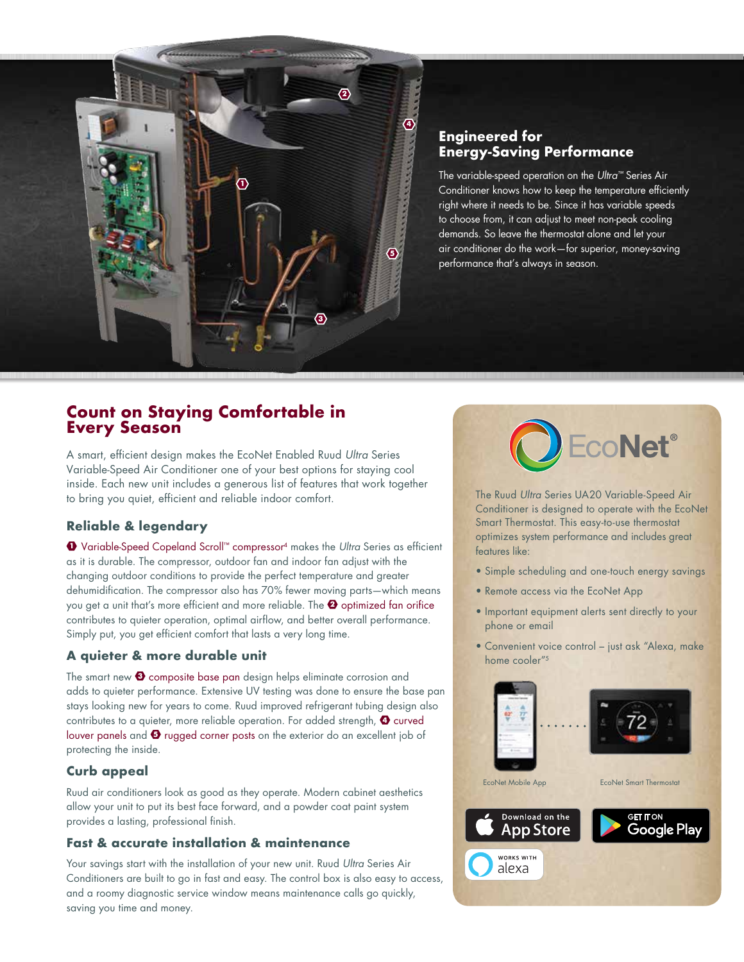

# **Engineered for Energy-Saving Performance**

The variable-speed operation on the *Ultra™* Series Air Conditioner knows how to keep the temperature efficiently right where it needs to be. Since it has variable speeds to choose from, it can adjust to meet non-peak cooling demands. So leave the thermostat alone and let your air conditioner do the work—for superior, money-saving performance that's always in season.

# **Count on Staying Comfortable in Every Season**

A smart, efficient design makes the EcoNet Enabled Ruud *Ultra* Series Variable-Speed Air Conditioner one of your best options for staying cool inside. Each new unit includes a generous list of features that work together to bring you quiet, efficient and reliable indoor comfort.

# **Reliable & legendary**

<sup>1</sup> Variable-Speed Copeland Scroll™ compressor4 makes the *Ultra* Series as efficient as it is durable. The compressor, outdoor fan and indoor fan adjust with the changing outdoor conditions to provide the perfect temperature and greater dehumidification. The compressor also has 70% fewer moving parts—which means you get a unit that's more efficient and more reliable. The  $\bullet$  optimized fan orifice contributes to quieter operation, optimal airflow, and better overall performance. Simply put, you get efficient comfort that lasts a very long time.

# **A quieter & more durable unit**

The smart new  $\bigcirc$  composite base pan design helps eliminate corrosion and adds to quieter performance. Extensive UV testing was done to ensure the base pan stays looking new for years to come. Ruud improved refrigerant tubing design also contributes to a quieter, more reliable operation. For added strength,  $\bullet$  curved louver panels and  $\bullet$  rugged corner posts on the exterior do an excellent job of protecting the inside.

# **Curb appeal**

Ruud air conditioners look as good as they operate. Modern cabinet aesthetics allow your unit to put its best face forward, and a powder coat paint system provides a lasting, professional finish.

# **Fast & accurate installation & maintenance**

Your savings start with the installation of your new unit. Ruud *Ultra* Series Air Conditioners are built to go in fast and easy. The control box is also easy to access, and a roomy diagnostic service window means maintenance calls go quickly, saving you time and money.



The Ruud *Ultra* Series UA20 Variable-Speed Air Conditioner is designed to operate with the EcoNet Smart Thermostat. This easy-to-use thermostat optimizes system performance and includes great features like:

- Simple scheduling and one-touch energy savings
- Remote access via the EcoNet App
- Important equipment alerts sent directly to your phone or email
- Convenient voice control just ask "Alexa, make home cooler"<sup>5</sup>